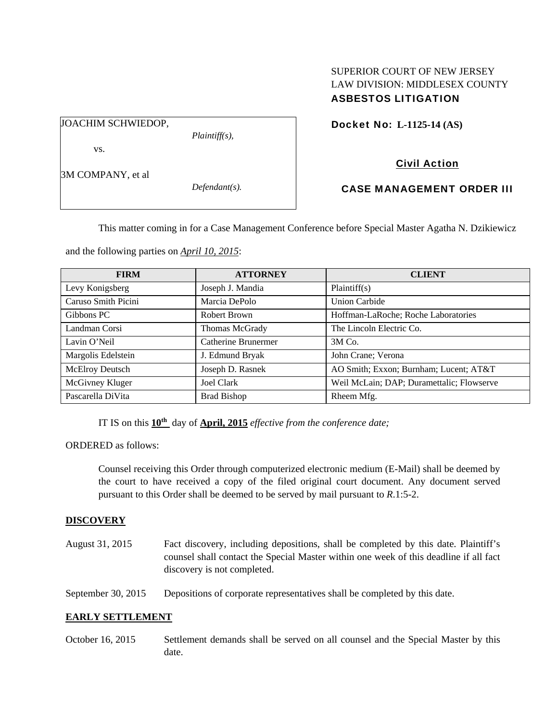## SUPERIOR COURT OF NEW JERSEY LAW DIVISION: MIDDLESEX COUNTY ASBESTOS LITIGATION

JOACHIM SCHWIEDOP,

*Plaintiff(s),* 

Docket No: **L-1125-14 (AS)** 

vs.

3M COMPANY, et al

*Defendant(s).* 

Civil Action

# CASE MANAGEMENT ORDER III

This matter coming in for a Case Management Conference before Special Master Agatha N. Dzikiewicz

and the following parties on *April 10, 2015*:

| <b>FIRM</b>         | <b>ATTORNEY</b>     | <b>CLIENT</b>                             |
|---------------------|---------------------|-------------------------------------------|
| Levy Konigsberg     | Joseph J. Mandia    | Plaintiff(s)                              |
| Caruso Smith Picini | Marcia DePolo       | <b>Union Carbide</b>                      |
| Gibbons PC          | Robert Brown        | Hoffman-LaRoche; Roche Laboratories       |
| Landman Corsi       | Thomas McGrady      | The Lincoln Electric Co.                  |
| Lavin O'Neil        | Catherine Brunermer | $3M$ Co.                                  |
| Margolis Edelstein  | J. Edmund Bryak     | John Crane; Verona                        |
| McElroy Deutsch     | Joseph D. Rasnek    | AO Smith; Exxon; Burnham; Lucent; AT&T    |
| McGivney Kluger     | <b>Joel Clark</b>   | Weil McLain; DAP; Duramettalic; Flowserve |
| Pascarella DiVita   | <b>Brad Bishop</b>  | Rheem Mfg.                                |

IT IS on this **10th** day of **April, 2015** *effective from the conference date;*

ORDERED as follows:

Counsel receiving this Order through computerized electronic medium (E-Mail) shall be deemed by the court to have received a copy of the filed original court document. Any document served pursuant to this Order shall be deemed to be served by mail pursuant to *R*.1:5-2.

# **DISCOVERY**

August 31, 2015 Fact discovery, including depositions, shall be completed by this date. Plaintiff's counsel shall contact the Special Master within one week of this deadline if all fact discovery is not completed.

September 30, 2015 Depositions of corporate representatives shall be completed by this date.

### **EARLY SETTLEMENT**

October 16, 2015 Settlement demands shall be served on all counsel and the Special Master by this date.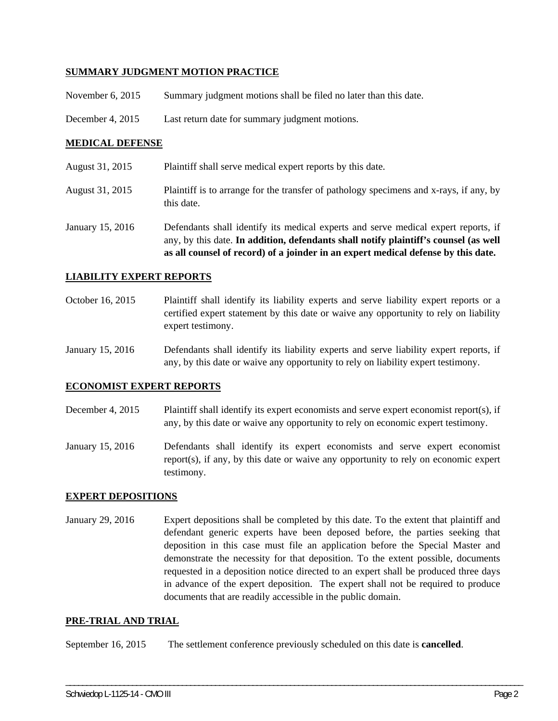### **SUMMARY JUDGMENT MOTION PRACTICE**

- November 6, 2015 Summary judgment motions shall be filed no later than this date.
- December 4, 2015 Last return date for summary judgment motions.

### **MEDICAL DEFENSE**

- August 31, 2015 Plaintiff shall serve medical expert reports by this date.
- August 31, 2015 Plaintiff is to arrange for the transfer of pathology specimens and x-rays, if any, by this date.
- January 15, 2016 Defendants shall identify its medical experts and serve medical expert reports, if any, by this date. **In addition, defendants shall notify plaintiff's counsel (as well as all counsel of record) of a joinder in an expert medical defense by this date.**

#### **LIABILITY EXPERT REPORTS**

- October 16, 2015 Plaintiff shall identify its liability experts and serve liability expert reports or a certified expert statement by this date or waive any opportunity to rely on liability expert testimony.
- January 15, 2016 Defendants shall identify its liability experts and serve liability expert reports, if any, by this date or waive any opportunity to rely on liability expert testimony.

#### **ECONOMIST EXPERT REPORTS**

- December 4, 2015 Plaintiff shall identify its expert economists and serve expert economist report(s), if any, by this date or waive any opportunity to rely on economic expert testimony.
- January 15, 2016 Defendants shall identify its expert economists and serve expert economist report(s), if any, by this date or waive any opportunity to rely on economic expert testimony.

#### **EXPERT DEPOSITIONS**

January 29, 2016 Expert depositions shall be completed by this date. To the extent that plaintiff and defendant generic experts have been deposed before, the parties seeking that deposition in this case must file an application before the Special Master and demonstrate the necessity for that deposition. To the extent possible, documents requested in a deposition notice directed to an expert shall be produced three days in advance of the expert deposition. The expert shall not be required to produce documents that are readily accessible in the public domain.

\_\_\_\_\_\_\_\_\_\_\_\_\_\_\_\_\_\_\_\_\_\_\_\_\_\_\_\_\_\_\_\_\_\_\_\_\_\_\_\_\_\_\_\_\_\_\_\_\_\_\_\_\_\_\_\_\_\_\_\_\_\_\_\_\_\_\_\_\_\_\_\_\_\_\_\_\_\_\_\_\_\_\_\_\_\_\_\_\_\_\_\_\_\_\_\_\_\_\_\_\_\_\_\_\_\_\_\_\_\_

#### **PRE-TRIAL AND TRIAL**

September 16, 2015 The settlement conference previously scheduled on this date is **cancelled**.